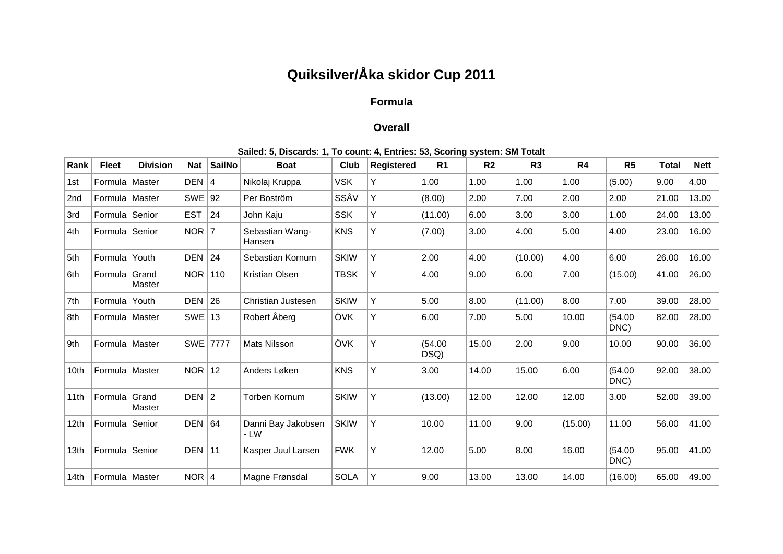## **Quiksilver/Åka skidor Cup 2011**

## **Formula**

## **Overall**

| Rank             | <b>Fleet</b>     | <b>Division</b> | <b>Nat</b> | <b>SailNo</b> | <b>Boat</b>                 | Club        | Registered | R <sub>1</sub>  | R <sub>2</sub> | R <sub>3</sub> | R <sub>4</sub> | R <sub>5</sub>  | <b>Total</b> | <b>Nett</b> |
|------------------|------------------|-----------------|------------|---------------|-----------------------------|-------------|------------|-----------------|----------------|----------------|----------------|-----------------|--------------|-------------|
| 1st              | Formula   Master |                 | DEFN   4   |               | Nikolaj Kruppa              | <b>VSK</b>  | Y          | 1.00            | 1.00           | 1.00           | 1.00           | (5.00)          | 9.00         | 4.00        |
| 2nd              | Formula   Master |                 | SWE   92   |               | Per Boström                 | SSÅV        | Y          | (8.00)          | 2.00           | 7.00           | 2.00           | 2.00            | 21.00        | 13.00       |
| 3rd              | Formula          | Senior          | <b>EST</b> | 24            | John Kaju                   | <b>SSK</b>  | Y          | (11.00)         | 6.00           | 3.00           | 3.00           | 1.00            | 24.00        | 13.00       |
| 4th              | Formula          | Senior          | $NOR$   7  |               | Sebastian Wang-<br>Hansen   | <b>KNS</b>  | Y          | (7.00)          | 3.00           | 4.00           | 5.00           | 4.00            | 23.00        | 16.00       |
| 5th              | Formula          | Youth           | <b>DEN</b> | 24            | Sebastian Kornum            | <b>SKIW</b> | Y          | 2.00            | 4.00           | (10.00)        | 4.00           | 6.00            | 26.00        | 16.00       |
| 6th              | Formula          | Grand<br>Master | <b>NOR</b> | 110           | <b>Kristian Olsen</b>       | <b>TBSK</b> | Y          | 4.00            | 9.00           | 6.00           | 7.00           | (15.00)         | 41.00        | 26.00       |
| 7th              | Formula          | Youth           | <b>DEN</b> | 26            | Christian Justesen          | <b>SKIW</b> | Y          | 5.00            | 8.00           | (11.00)        | 8.00           | 7.00            | 39.00        | 28.00       |
| 8th              | Formula   Master |                 | <b>SWE</b> | 13            | Robert Åberg                | ÖVK         | Y          | 6.00            | 7.00           | 5.00           | 10.00          | (54.00)<br>DNC) | 82.00        | 28.00       |
| 9th              | Formula   Master |                 |            | SWE 7777      | Mats Nilsson                | ÖVK         | Y          | (54.00)<br>DSQ) | 15.00          | 2.00           | 9.00           | 10.00           | 90.00        | 36.00       |
| 10 <sub>th</sub> | Formula   Master |                 | NOR        | $ 12\rangle$  | Anders Løken                | <b>KNS</b>  | Y          | 3.00            | 14.00          | 15.00          | 6.00           | (54.00)<br>DNC) | 92.00        | 38.00       |
| 11th             | Formula          | Grand<br>Master | $DEFN$   2 |               | Torben Kornum               | <b>SKIW</b> | Y          | (13.00)         | 12.00          | 12.00          | 12.00          | 3.00            | 52.00        | 39.00       |
| 12th             | Formula          | Senior          | DEN $ 64$  |               | Danni Bay Jakobsen<br>$-LW$ | <b>SKIW</b> | Y          | 10.00           | 11.00          | 9.00           | (15.00)        | 11.00           | 56.00        | 41.00       |
| 13th             | Formula          | Senior          | DEN        | $\vert$ 11    | Kasper Juul Larsen          | <b>FWK</b>  | Υ          | 12.00           | 5.00           | 8.00           | 16.00          | (54.00)<br>DNC) | 95.00        | 41.00       |
| 14th             | Formula   Master |                 | NOR $ 4$   |               | Magne Frønsdal              | <b>SOLA</b> | Y          | 9.00            | 13.00          | 13.00          | 14.00          | (16.00)         | 65.00        | 49.00       |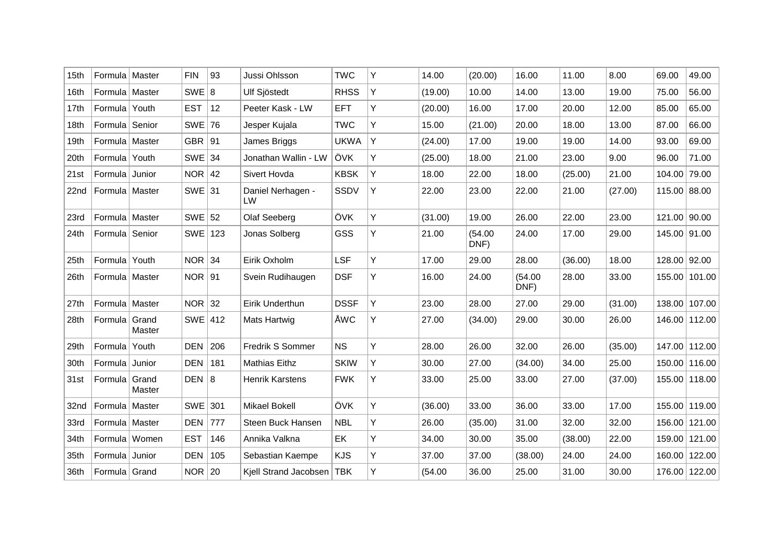| 15th | Formula   Master |                 | <b>FIN</b> | 93  | Jussi Ohlsson               | <b>TWC</b>  | Υ | 14.00   | (20.00)         | 16.00           | 11.00   | 8.00    | 69.00        | 49.00         |
|------|------------------|-----------------|------------|-----|-----------------------------|-------------|---|---------|-----------------|-----------------|---------|---------|--------------|---------------|
| 16th | Formula   Master |                 | SWE 8      |     | Ulf Sjöstedt                | <b>RHSS</b> | Υ | (19.00) | 10.00           | 14.00           | 13.00   | 19.00   | 75.00        | 56.00         |
| 17th | Formula          | Youth           | <b>EST</b> | 12  | Peeter Kask - LW            | <b>EFT</b>  | Y | (20.00) | 16.00           | 17.00           | 20.00   | 12.00   | 85.00        | 65.00         |
| 18th | Formula Senior   |                 | SWE 76     |     | Jesper Kujala               | <b>TWC</b>  | Υ | 15.00   | (21.00)         | 20.00           | 18.00   | 13.00   | 87.00        | 66.00         |
| 19th | Formula   Master |                 | GBR $ 91$  |     | James Briggs                | <b>UKWA</b> | Y | (24.00) | 17.00           | 19.00           | 19.00   | 14.00   | 93.00        | 69.00         |
| 20th | Formula          | Youth           | $SWE$ 34   |     | Jonathan Wallin - LW        | ÖVK         | Υ | (25.00) | 18.00           | 21.00           | 23.00   | 9.00    | 96.00        | 71.00         |
| 21st | Formula Junior   |                 | NOR $ 42$  |     | Sivert Hovda                | <b>KBSK</b> | Υ | 18.00   | 22.00           | 18.00           | (25.00) | 21.00   | 104.00       | 79.00         |
| 22nd | Formula   Master |                 | $SWE$ 31   |     | Daniel Nerhagen -<br>LW     | SSDV        | Υ | 22.00   | 23.00           | 22.00           | 21.00   | (27.00) | 115.00       | 88.00         |
| 23rd | Formula   Master |                 | $SWE$ 52   |     | Olaf Seeberg                | ÖVK         | Y | (31.00) | 19.00           | 26.00           | 22.00   | 23.00   |              | 121.00 90.00  |
| 24th | Formula Senior   |                 | SWE 123    |     | Jonas Solberg               | GSS         | Υ | 21.00   | (54.00)<br>DNF) | 24.00           | 17.00   | 29.00   | 145.00 91.00 |               |
| 25th | Formula Youth    |                 | $NOR$ 34   |     | Eirik Oxholm                | <b>LSF</b>  | Y | 17.00   | 29.00           | 28.00           | (36.00) | 18.00   |              | 128.00 92.00  |
| 26th | Formula   Master |                 | $NOR$   91 |     | Svein Rudihaugen            | <b>DSF</b>  | Υ | 16.00   | 24.00           | (54.00)<br>DNF) | 28.00   | 33.00   | 155.00       | 101.00        |
| 27th | Formula   Master |                 | $NOR$ 32   |     | Eirik Underthun             | <b>DSSF</b> | Y | 23.00   | 28.00           | 27.00           | 29.00   | (31.00) | 138.00       | 107.00        |
| 28th | Formula          | Grand<br>Master | $SWE$ 412  |     | Mats Hartwig                | ÅWC         | Υ | 27.00   | (34.00)         | 29.00           | 30.00   | 26.00   |              | 146.00 112.00 |
| 29th | Formula          | Youth           | <b>DEN</b> | 206 | Fredrik S Sommer            | <b>NS</b>   | Y | 28.00   | 26.00           | 32.00           | 26.00   | (35.00) | 147.00       | 112.00        |
| 30th | Formula          | Junior          | <b>DEN</b> | 181 | <b>Mathias Eithz</b>        | <b>SKIW</b> | Υ | 30.00   | 27.00           | (34.00)         | 34.00   | 25.00   | 150.00       | 116.00        |
| 31st | Formula          | Grand<br>Master | DEFN   8   |     | <b>Henrik Karstens</b>      | <b>FWK</b>  | Υ | 33.00   | 25.00           | 33.00           | 27.00   | (37.00) | 155.00       | 118.00        |
| 32nd | Formula   Master |                 | SWE 301    |     | <b>Mikael Bokell</b>        | ÖVK         | Y | (36.00) | 33.00           | 36.00           | 33.00   | 17.00   | 155.00       | 119.00        |
| 33rd | Formula   Master |                 | DEN        | 777 | Steen Buck Hansen           | <b>NBL</b>  | Υ | 26.00   | (35.00)         | 31.00           | 32.00   | 32.00   | 156.00       | 121.00        |
| 34th | Formula   Women  |                 | <b>EST</b> | 146 | Annika Valkna               | EK          | Υ | 34.00   | 30.00           | 35.00           | (38.00) | 22.00   | 159.00       | 121.00        |
| 35th | Formula Junior   |                 | <b>DEN</b> | 105 | Sebastian Kaempe            | <b>KJS</b>  | Υ | 37.00   | 37.00           | (38.00)         | 24.00   | 24.00   | 160.00       | 122.00        |
| 36th | Formula Grand    |                 | $NOR$ 20   |     | Kjell Strand Jacobsen   TBK |             | Υ | (54.00) | 36.00           | 25.00           | 31.00   | 30.00   |              | 176.00 122.00 |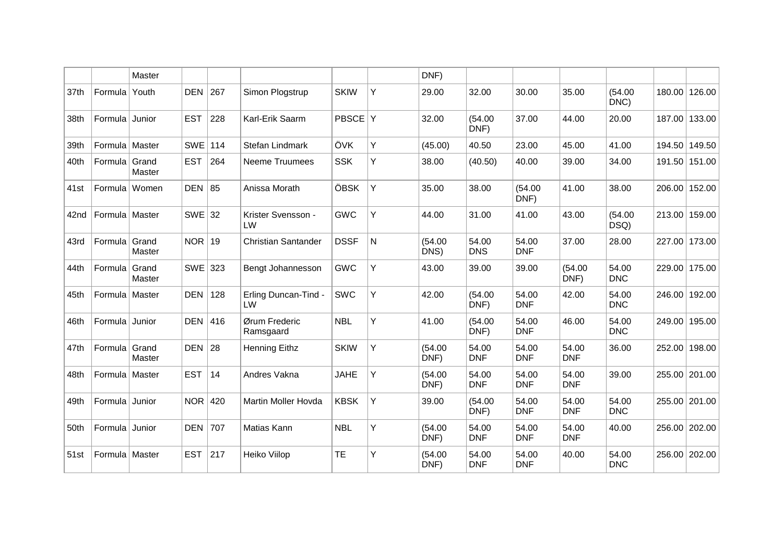|      |                  | Master          |            |     |                            |              |           | DNF)            |                     |                     |                     |                     |        |               |
|------|------------------|-----------------|------------|-----|----------------------------|--------------|-----------|-----------------|---------------------|---------------------|---------------------|---------------------|--------|---------------|
| 37th | Formula          | Youth           | DEN 267    |     | Simon Plogstrup            | <b>SKIW</b>  | Υ         | 29.00           | 32.00               | 30.00               | 35.00               | (54.00)<br>DNC)     |        | 180.00 126.00 |
| 38th | Formula          | Junior          | <b>EST</b> | 228 | Karl-Erik Saarm            | <b>PBSCE</b> | ΙÝ.       | 32.00           | (54.00)<br>DNF)     | 37.00               | 44.00               | 20.00               |        | 187.00 133.00 |
| 39th | Formula   Master |                 | $SWE$ 114  |     | Stefan Lindmark            | ÖVK          | Υ         | (45.00)         | 40.50               | 23.00               | 45.00               | 41.00               | 194.50 | 149.50        |
| 40th | Formula Grand    | Master          | <b>EST</b> | 264 | <b>Neeme Truumees</b>      | <b>SSK</b>   | Υ         | 38.00           | (40.50)             | 40.00               | 39.00               | 34.00               |        | 191.50 151.00 |
| 41st | Formula   Women  |                 | DEN $ 85$  |     | Anissa Morath              | ÖBSK         | Y         | 35.00           | 38.00               | (54.00)<br>DNF)     | 41.00               | 38.00               |        | 206.00 152.00 |
| 42nd | Formula   Master |                 | $SWE$ 32   |     | Krister Svensson -<br>LW   | <b>GWC</b>   | Y         | 44.00           | 31.00               | 41.00               | 43.00               | (54.00)<br>DSQ)     |        | 213.00 159.00 |
| 43rd | Formula          | Grand<br>Master | $NOR$   19 |     | <b>Christian Santander</b> | <b>DSSF</b>  | ${\sf N}$ | (54.00)<br>DNS) | 54.00<br><b>DNS</b> | 54.00<br><b>DNF</b> | 37.00               | 28.00               |        | 227.00 173.00 |
| 44th | Formula          | Grand<br>Master | SWE 323    |     | Bengt Johannesson          | <b>GWC</b>   | Υ         | 43.00           | 39.00               | 39.00               | (54.00)<br>DNF)     | 54.00<br><b>DNC</b> |        | 229.00 175.00 |
| 45th | Formula   Master |                 | DEN 128    |     | Erling Duncan-Tind -<br>LW | <b>SWC</b>   | Υ         | 42.00           | (54.00)<br>DNF)     | 54.00<br><b>DNF</b> | 42.00               | 54.00<br><b>DNC</b> |        | 246.00 192.00 |
| 46th | Formula          | Junior          | DEN 416    |     | Ørum Frederic<br>Ramsgaard | <b>NBL</b>   | Y         | 41.00           | (54.00)<br>DNF)     | 54.00<br><b>DNF</b> | 46.00               | 54.00<br><b>DNC</b> |        | 249.00 195.00 |
| 47th | Formula Grand    | Master          | DEN $ 28$  |     | <b>Henning Eithz</b>       | <b>SKIW</b>  | Υ         | (54.00)<br>DNF) | 54.00<br><b>DNF</b> | 54.00<br><b>DNF</b> | 54.00<br><b>DNF</b> | 36.00               |        | 252.00 198.00 |
| 48th | Formula   Master |                 | <b>EST</b> | 14  | Andres Vakna               | <b>JAHE</b>  | Υ         | (54.00)<br>DNF) | 54.00<br><b>DNF</b> | 54.00<br><b>DNF</b> | 54.00<br><b>DNF</b> | 39.00               |        | 255.00 201.00 |
| 49th | Formula          | Junior          | $NOR$ 420  |     | Martin Moller Hovda        | <b>KBSK</b>  | Υ         | 39.00           | (54.00)<br>DNF)     | 54.00<br><b>DNF</b> | 54.00<br><b>DNF</b> | 54.00<br><b>DNC</b> |        | 255.00 201.00 |
| 50th | Formula          | Junior          | DEN 707    |     | Matias Kann                | <b>NBL</b>   | Υ         | (54.00)<br>DNF) | 54.00<br><b>DNF</b> | 54.00<br><b>DNF</b> | 54.00<br><b>DNF</b> | 40.00               |        | 256.00 202.00 |
| 51st | Formula   Master |                 | <b>EST</b> | 217 | Heiko Viilop               | TE           | Y         | (54.00)<br>DNF) | 54.00<br><b>DNF</b> | 54.00<br><b>DNF</b> | 40.00               | 54.00<br><b>DNC</b> | 256.00 | 202.00        |